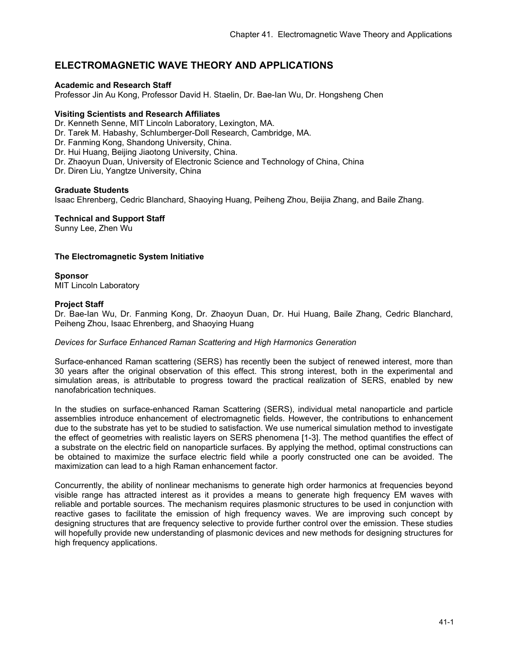# **ELECTROMAGNETIC WAVE THEORY AND APPLICATIONS**

## **Academic and Research Staff**

Professor Jin Au Kong, Professor David H. Staelin, Dr. Bae-Ian Wu, Dr. Hongsheng Chen

## **Visiting Scientists and Research Affiliates**

Dr. Kenneth Senne, MIT Lincoln Laboratory, Lexington, MA.

Dr. Tarek M. Habashy, Schlumberger-Doll Research, Cambridge, MA.

Dr. Fanming Kong, Shandong University, China.

Dr. Hui Huang, Beijing Jiaotong University, China.

Dr. Zhaoyun Duan, University of Electronic Science and Technology of China, China

Dr. Diren Liu, Yangtze University, China

## **Graduate Students**

Isaac Ehrenberg, Cedric Blanchard, Shaoying Huang, Peiheng Zhou, Beijia Zhang, and Baile Zhang.

# **Technical and Support Staff**

Sunny Lee, Zhen Wu

# **The Electromagnetic System Initiative**

# **Sponsor**

MIT Lincoln Laboratory

## **Project Staff**

Dr. Bae-Ian Wu, Dr. Fanming Kong, Dr. Zhaoyun Duan, Dr. Hui Huang, Baile Zhang, Cedric Blanchard, Peiheng Zhou, Isaac Ehrenberg, and Shaoying Huang

#### *Devices for Surface Enhanced Raman Scattering and High Harmonics Generation*

Surface-enhanced Raman scattering (SERS) has recently been the subject of renewed interest, more than 30 years after the original observation of this effect. This strong interest, both in the experimental and simulation areas, is attributable to progress toward the practical realization of SERS, enabled by new nanofabrication techniques.

In the studies on surface-enhanced Raman Scattering (SERS), individual metal nanoparticle and particle assemblies introduce enhancement of electromagnetic fields. However, the contributions to enhancement due to the substrate has yet to be studied to satisfaction. We use numerical simulation method to investigate the effect of geometries with realistic layers on SERS phenomena [1-3]. The method quantifies the effect of a substrate on the electric field on nanoparticle surfaces. By applying the method, optimal constructions can be obtained to maximize the surface electric field while a poorly constructed one can be avoided. The maximization can lead to a high Raman enhancement factor.

Concurrently, the ability of nonlinear mechanisms to generate high order harmonics at frequencies beyond visible range has attracted interest as it provides a means to generate high frequency EM waves with reliable and portable sources. The mechanism requires plasmonic structures to be used in conjunction with reactive gases to facilitate the emission of high frequency waves. We are improving such concept by designing structures that are frequency selective to provide further control over the emission. These studies will hopefully provide new understanding of plasmonic devices and new methods for designing structures for high frequency applications.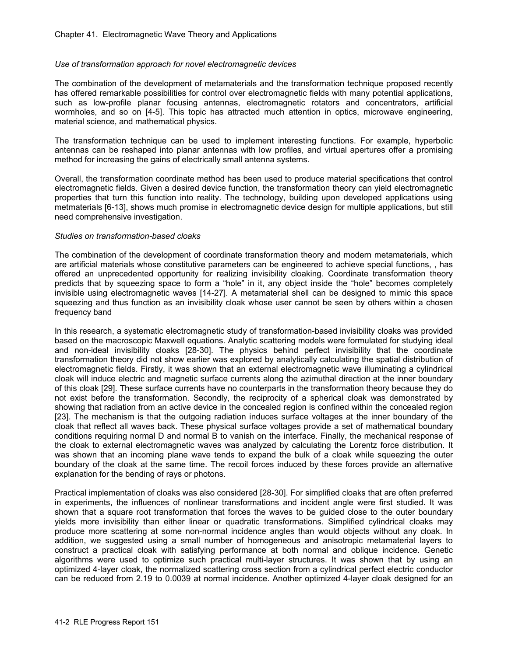#### *Use of transformation approach for novel electromagnetic devices*

The combination of the development of metamaterials and the transformation technique proposed recently has offered remarkable possibilities for control over electromagnetic fields with many potential applications, such as low-profile planar focusing antennas, electromagnetic rotators and concentrators, artificial wormholes, and so on [4-5]. This topic has attracted much attention in optics, microwave engineering, material science, and mathematical physics.

The transformation technique can be used to implement interesting functions. For example, hyperbolic antennas can be reshaped into planar antennas with low profiles, and virtual apertures offer a promising method for increasing the gains of electrically small antenna systems.

Overall, the transformation coordinate method has been used to produce material specifications that control electromagnetic fields. Given a desired device function, the transformation theory can yield electromagnetic properties that turn this function into reality. The technology, building upon developed applications using metmaterials [6-13], shows much promise in electromagnetic device design for multiple applications, but still need comprehensive investigation.

#### *Studies on transformation-based cloaks*

The combination of the development of coordinate transformation theory and modern metamaterials, which are artificial materials whose constitutive parameters can be engineered to achieve special functions, , has offered an unprecedented opportunity for realizing invisibility cloaking. Coordinate transformation theory predicts that by squeezing space to form a "hole" in it, any object inside the "hole" becomes completely invisible using electromagnetic waves [14-27]. A metamaterial shell can be designed to mimic this space squeezing and thus function as an invisibility cloak whose user cannot be seen by others within a chosen frequency band

In this research, a systematic electromagnetic study of transformation-based invisibility cloaks was provided based on the macroscopic Maxwell equations. Analytic scattering models were formulated for studying ideal and non-ideal invisibility cloaks [28-30]. The physics behind perfect invisibility that the coordinate transformation theory did not show earlier was explored by analytically calculating the spatial distribution of electromagnetic fields. Firstly, it was shown that an external electromagnetic wave illuminating a cylindrical cloak will induce electric and magnetic surface currents along the azimuthal direction at the inner boundary of this cloak [29]. These surface currents have no counterparts in the transformation theory because they do not exist before the transformation. Secondly, the reciprocity of a spherical cloak was demonstrated by showing that radiation from an active device in the concealed region is confined within the concealed region [23]. The mechanism is that the outgoing radiation induces surface voltages at the inner boundary of the cloak that reflect all waves back. These physical surface voltages provide a set of mathematical boundary conditions requiring normal D and normal B to vanish on the interface. Finally, the mechanical response of the cloak to external electromagnetic waves was analyzed by calculating the Lorentz force distribution. It was shown that an incoming plane wave tends to expand the bulk of a cloak while squeezing the outer boundary of the cloak at the same time. The recoil forces induced by these forces provide an alternative explanation for the bending of rays or photons.

Practical implementation of cloaks was also considered [28-30]. For simplified cloaks that are often preferred in experiments, the influences of nonlinear transformations and incident angle were first studied. It was shown that a square root transformation that forces the waves to be guided close to the outer boundary yields more invisibility than either linear or quadratic transformations. Simplified cylindrical cloaks may produce more scattering at some non-normal incidence angles than would objects without any cloak. In addition, we suggested using a small number of homogeneous and anisotropic metamaterial layers to construct a practical cloak with satisfying performance at both normal and oblique incidence. Genetic algorithms were used to optimize such practical multi-layer structures. It was shown that by using an optimized 4-layer cloak, the normalized scattering cross section from a cylindrical perfect electric conductor can be reduced from 2.19 to 0.0039 at normal incidence. Another optimized 4-layer cloak designed for an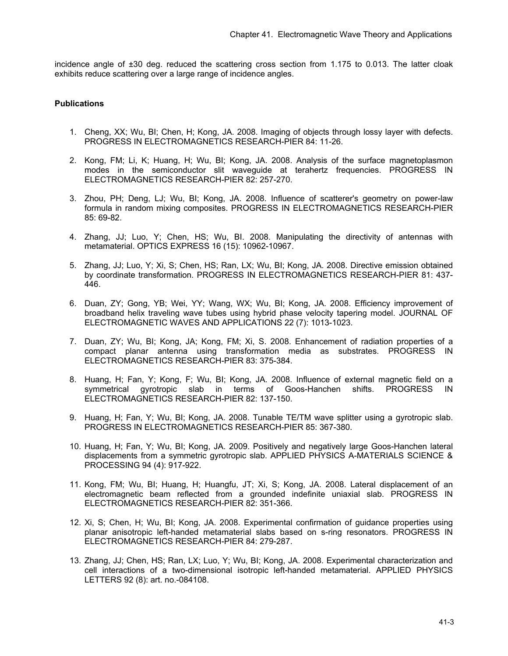incidence angle of ±30 deg. reduced the scattering cross section from 1.175 to 0.013. The latter cloak exhibits reduce scattering over a large range of incidence angles.

## **Publications**

- 1. Cheng, XX; Wu, BI; Chen, H; Kong, JA. 2008. Imaging of objects through lossy layer with defects. PROGRESS IN ELECTROMAGNETICS RESEARCH-PIER 84: 11-26.
- 2. Kong, FM; Li, K; Huang, H; Wu, BI; Kong, JA. 2008. Analysis of the surface magnetoplasmon modes in the semiconductor slit waveguide at terahertz frequencies. PROGRESS IN ELECTROMAGNETICS RESEARCH-PIER 82: 257-270.
- 3. Zhou, PH; Deng, LJ; Wu, BI; Kong, JA. 2008. Influence of scatterer's geometry on power-law formula in random mixing composites. PROGRESS IN ELECTROMAGNETICS RESEARCH-PIER 85: 69-82.
- 4. Zhang, JJ; Luo, Y; Chen, HS; Wu, BI. 2008. Manipulating the directivity of antennas with metamaterial. OPTICS EXPRESS 16 (15): 10962-10967.
- 5. Zhang, JJ; Luo, Y; Xi, S; Chen, HS; Ran, LX; Wu, BI; Kong, JA. 2008. Directive emission obtained by coordinate transformation. PROGRESS IN ELECTROMAGNETICS RESEARCH-PIER 81: 437- 446.
- 6. Duan, ZY; Gong, YB; Wei, YY; Wang, WX; Wu, BI; Kong, JA. 2008. Efficiency improvement of broadband helix traveling wave tubes using hybrid phase velocity tapering model. JOURNAL OF ELECTROMAGNETIC WAVES AND APPLICATIONS 22 (7): 1013-1023.
- 7. Duan, ZY; Wu, BI; Kong, JA; Kong, FM; Xi, S. 2008. Enhancement of radiation properties of a compact planar antenna using transformation media as substrates. PROGRESS IN ELECTROMAGNETICS RESEARCH-PIER 83: 375-384.
- 8. Huang, H; Fan, Y; Kong, F; Wu, BI; Kong, JA. 2008. Influence of external magnetic field on a symmetrical gyrotropic slab in terms of Goos-Hanchen shifts. PROGRESS IN ELECTROMAGNETICS RESEARCH-PIER 82: 137-150.
- 9. Huang, H; Fan, Y; Wu, BI; Kong, JA. 2008. Tunable TE/TM wave splitter using a gyrotropic slab. PROGRESS IN ELECTROMAGNETICS RESEARCH-PIER 85: 367-380.
- 10. Huang, H; Fan, Y; Wu, BI; Kong, JA. 2009. Positively and negatively large Goos-Hanchen lateral displacements from a symmetric gyrotropic slab. APPLIED PHYSICS A-MATERIALS SCIENCE & PROCESSING 94 (4): 917-922.
- 11. Kong, FM; Wu, BI; Huang, H; Huangfu, JT; Xi, S; Kong, JA. 2008. Lateral displacement of an electromagnetic beam reflected from a grounded indefinite uniaxial slab. PROGRESS IN ELECTROMAGNETICS RESEARCH-PIER 82: 351-366.
- 12. Xi, S; Chen, H; Wu, BI; Kong, JA. 2008. Experimental confirmation of guidance properties using planar anisotropic left-handed metamaterial slabs based on s-ring resonators. PROGRESS IN ELECTROMAGNETICS RESEARCH-PIER 84: 279-287.
- 13. Zhang, JJ; Chen, HS; Ran, LX; Luo, Y; Wu, BI; Kong, JA. 2008. Experimental characterization and cell interactions of a two-dimensional isotropic left-handed metamaterial. APPLIED PHYSICS LETTERS 92 (8): art. no.-084108.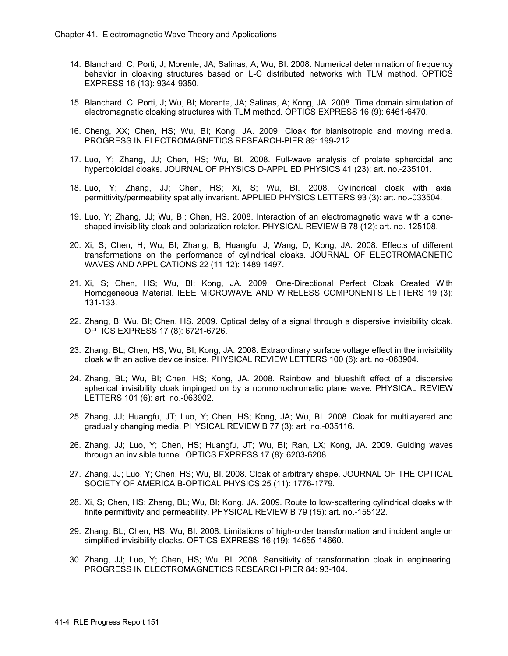- 14. Blanchard, C; Porti, J; Morente, JA; Salinas, A; Wu, BI. 2008. Numerical determination of frequency behavior in cloaking structures based on L-C distributed networks with TLM method. OPTICS EXPRESS 16 (13): 9344-9350.
- 15. Blanchard, C; Porti, J; Wu, BI; Morente, JA; Salinas, A; Kong, JA. 2008. Time domain simulation of electromagnetic cloaking structures with TLM method. OPTICS EXPRESS 16 (9): 6461-6470.
- 16. Cheng, XX; Chen, HS; Wu, BI; Kong, JA. 2009. Cloak for bianisotropic and moving media. PROGRESS IN ELECTROMAGNETICS RESEARCH-PIER 89: 199-212.
- 17. Luo, Y; Zhang, JJ; Chen, HS; Wu, BI. 2008. Full-wave analysis of prolate spheroidal and hyperboloidal cloaks. JOURNAL OF PHYSICS D-APPLIED PHYSICS 41 (23): art. no.-235101.
- 18. Luo, Y; Zhang, JJ; Chen, HS; Xi, S; Wu, BI. 2008. Cylindrical cloak with axial permittivity/permeability spatially invariant. APPLIED PHYSICS LETTERS 93 (3): art. no.-033504.
- 19. Luo, Y; Zhang, JJ; Wu, BI; Chen, HS. 2008. Interaction of an electromagnetic wave with a coneshaped invisibility cloak and polarization rotator. PHYSICAL REVIEW B 78 (12): art. no.-125108.
- 20. Xi, S; Chen, H; Wu, BI; Zhang, B; Huangfu, J; Wang, D; Kong, JA. 2008. Effects of different transformations on the performance of cylindrical cloaks. JOURNAL OF ELECTROMAGNETIC WAVES AND APPLICATIONS 22 (11-12): 1489-1497.
- 21. Xi, S; Chen, HS; Wu, BI; Kong, JA. 2009. One-Directional Perfect Cloak Created With Homogeneous Material. IEEE MICROWAVE AND WIRELESS COMPONENTS LETTERS 19 (3): 131-133.
- 22. Zhang, B; Wu, BI; Chen, HS. 2009. Optical delay of a signal through a dispersive invisibility cloak. OPTICS EXPRESS 17 (8): 6721-6726.
- 23. Zhang, BL; Chen, HS; Wu, BI; Kong, JA. 2008. Extraordinary surface voltage effect in the invisibility cloak with an active device inside. PHYSICAL REVIEW LETTERS 100 (6): art. no.-063904.
- 24. Zhang, BL; Wu, BI; Chen, HS; Kong, JA. 2008. Rainbow and blueshift effect of a dispersive spherical invisibility cloak impinged on by a nonmonochromatic plane wave. PHYSICAL REVIEW LETTERS 101 (6): art. no.-063902.
- 25. Zhang, JJ; Huangfu, JT; Luo, Y; Chen, HS; Kong, JA; Wu, BI. 2008. Cloak for multilayered and gradually changing media. PHYSICAL REVIEW B 77 (3): art. no.-035116.
- 26. Zhang, JJ; Luo, Y; Chen, HS; Huangfu, JT; Wu, BI; Ran, LX; Kong, JA. 2009. Guiding waves through an invisible tunnel. OPTICS EXPRESS 17 (8): 6203-6208.
- 27. Zhang, JJ; Luo, Y; Chen, HS; Wu, BI. 2008. Cloak of arbitrary shape. JOURNAL OF THE OPTICAL SOCIETY OF AMERICA B-OPTICAL PHYSICS 25 (11): 1776-1779.
- 28. Xi, S; Chen, HS; Zhang, BL; Wu, BI; Kong, JA. 2009. Route to low-scattering cylindrical cloaks with finite permittivity and permeability. PHYSICAL REVIEW B 79 (15): art. no.-155122.
- 29. Zhang, BL; Chen, HS; Wu, BI. 2008. Limitations of high-order transformation and incident angle on simplified invisibility cloaks. OPTICS EXPRESS 16 (19): 14655-14660.
- 30. Zhang, JJ; Luo, Y; Chen, HS; Wu, BI. 2008. Sensitivity of transformation cloak in engineering. PROGRESS IN ELECTROMAGNETICS RESEARCH-PIER 84: 93-104.